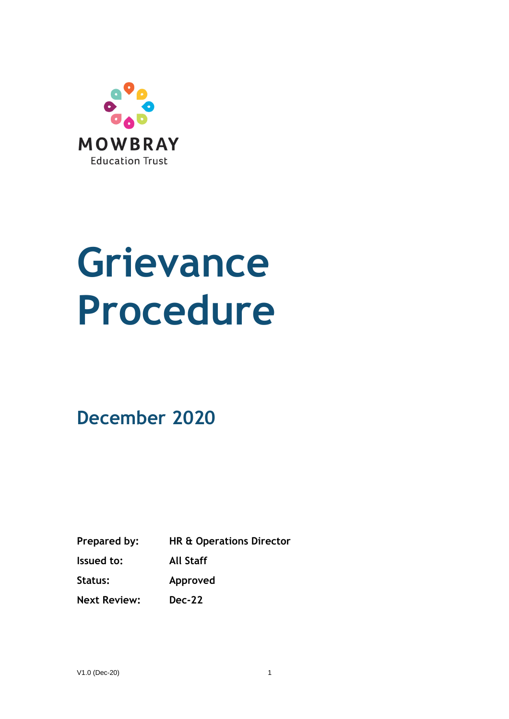

# **Grievance Procedure**

**December 2020**

**Prepared by: HR & Operations Director**

**Issued to: All Staff**

**Status: Approved**

**Next Review: Dec-22**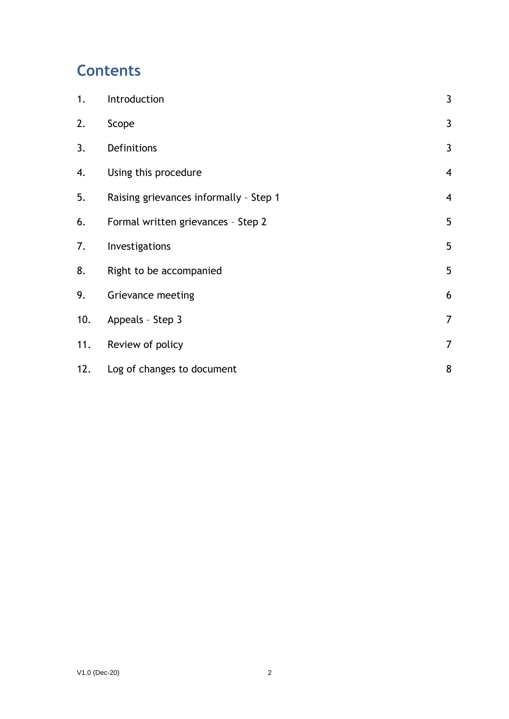## **Contents**

| 1.  | Introduction                           | $\mathbf{3}$            |
|-----|----------------------------------------|-------------------------|
| 2.  | Scope                                  | $\mathbf{3}$            |
| 3.  | Definitions                            | 3                       |
| 4.  | Using this procedure                   | $\overline{4}$          |
| 5.  | Raising grievances informally - Step 1 | $\overline{\mathbf{4}}$ |
| 6.  | Formal written grievances - Step 2     | 5                       |
| 7.  | Investigations                         | 5                       |
| 8.  | Right to be accompanied                | 5                       |
| 9.  | Grievance meeting                      | 6                       |
| 10. | Appeals - Step 3                       | $\overline{7}$          |
| 11. | Review of policy                       | $\overline{7}$          |
| 12. | Log of changes to document             | 8                       |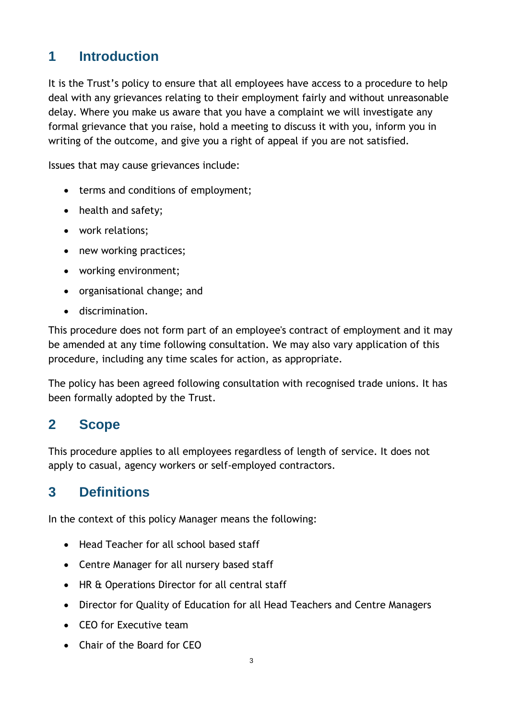## <span id="page-2-0"></span>**1 Introduction**

It is the Trust's policy to ensure that all employees have access to a procedure to help deal with any grievances relating to their employment fairly and without unreasonable delay. Where you make us aware that you have a complaint we will investigate any formal grievance that you raise, hold a meeting to discuss it with you, inform you in writing of the outcome, and give you a right of appeal if you are not satisfied.

Issues that may cause grievances include:

- terms and conditions of employment;
- health and safety;
- work relations;
- new working practices;
- working environment;
- organisational change; and
- discrimination.

This procedure does not form part of an employee's contract of employment and it may be amended at any time following consultation. We may also vary application of this procedure, including any time scales for action, as appropriate.

The policy has been agreed following consultation with recognised trade unions. It has been formally adopted by the Trust.

#### **2 Scope**

This procedure applies to all employees regardless of length of service. It does not apply to casual, agency workers or self-employed contractors.

#### <span id="page-2-1"></span>**3 Definitions**

In the context of this policy Manager means the following:

- Head Teacher for all school based staff
- Centre Manager for all nursery based staff
- HR & Operations Director for all central staff
- Director for Quality of Education for all Head Teachers and Centre Managers
- CEO for Executive team
- Chair of the Board for CEO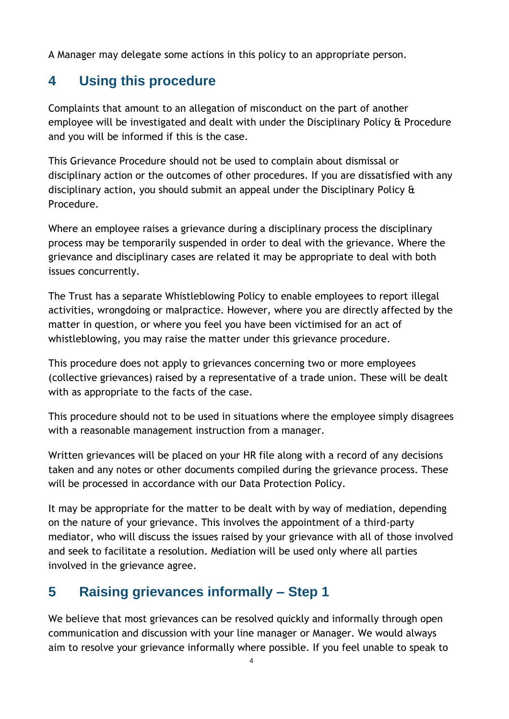A Manager may delegate some actions in this policy to an appropriate person.

## <span id="page-3-0"></span>**4 Using this procedure**

Complaints that amount to an allegation of misconduct on the part of another employee will be investigated and dealt with under the Disciplinary Policy & Procedure and you will be informed if this is the case.

This Grievance Procedure should not be used to complain about dismissal or disciplinary action or the outcomes of other procedures. If you are dissatisfied with any disciplinary action, you should submit an appeal under the Disciplinary Policy & Procedure.

Where an employee raises a grievance during a disciplinary process the disciplinary process may be temporarily suspended in order to deal with the grievance. Where the grievance and disciplinary cases are related it may be appropriate to deal with both issues concurrently.

The Trust has a separate Whistleblowing Policy to enable employees to report illegal activities, wrongdoing or malpractice. However, where you are directly affected by the matter in question, or where you feel you have been victimised for an act of whistleblowing, you may raise the matter under this grievance procedure.

This procedure does not apply to grievances concerning two or more employees (collective grievances) raised by a representative of a trade union. These will be dealt with as appropriate to the facts of the case.

This procedure should not to be used in situations where the employee simply disagrees with a reasonable management instruction from a manager.

Written grievances will be placed on your HR file along with a record of any decisions taken and any notes or other documents compiled during the grievance process. These will be processed in accordance with our Data Protection Policy.

It may be appropriate for the matter to be dealt with by way of mediation, depending on the nature of your grievance. This involves the appointment of a third-party mediator, who will discuss the issues raised by your grievance with all of those involved and seek to facilitate a resolution. Mediation will be used only where all parties involved in the grievance agree.

## <span id="page-3-1"></span>**5 Raising grievances informally – Step 1**

We believe that most grievances can be resolved quickly and informally through open communication and discussion with your line manager or Manager. We would always aim to resolve your grievance informally where possible. If you feel unable to speak to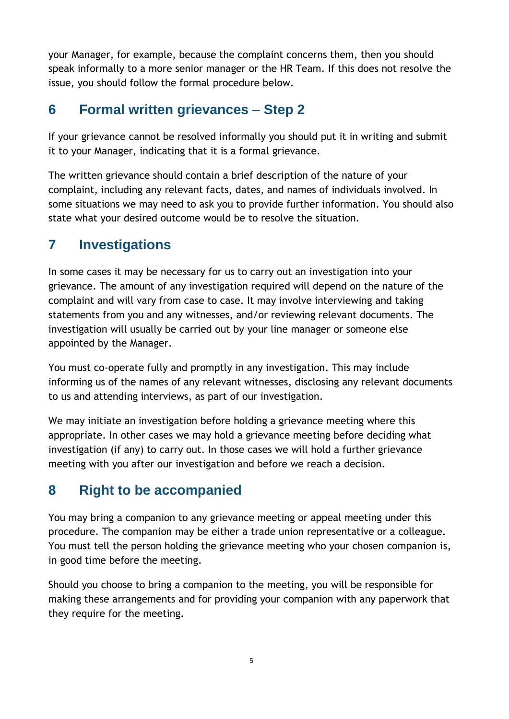your Manager, for example, because the complaint concerns them, then you should speak informally to a more senior manager or the HR Team. If this does not resolve the issue, you should follow the formal procedure below.

#### <span id="page-4-0"></span>**6 Formal written grievances – Step 2**

If your grievance cannot be resolved informally you should put it in writing and submit it to your Manager, indicating that it is a formal grievance.

The written grievance should contain a brief description of the nature of your complaint, including any relevant facts, dates, and names of individuals involved. In some situations we may need to ask you to provide further information. You should also state what your desired outcome would be to resolve the situation.

#### <span id="page-4-1"></span>**7 Investigations**

In some cases it may be necessary for us to carry out an investigation into your grievance. The amount of any investigation required will depend on the nature of the complaint and will vary from case to case. It may involve interviewing and taking statements from you and any witnesses, and/or reviewing relevant documents. The investigation will usually be carried out by your line manager or someone else appointed by the Manager.

You must co-operate fully and promptly in any investigation. This may include informing us of the names of any relevant witnesses, disclosing any relevant documents to us and attending interviews, as part of our investigation.

We may initiate an investigation before holding a grievance meeting where this appropriate. In other cases we may hold a grievance meeting before deciding what investigation (if any) to carry out. In those cases we will hold a further grievance meeting with you after our investigation and before we reach a decision.

#### <span id="page-4-2"></span>**8 Right to be accompanied**

You may bring a companion to any grievance meeting or appeal meeting under this procedure. The companion may be either a trade union representative or a colleague. You must tell the person holding the grievance meeting who your chosen companion is, in good time before the meeting.

Should you choose to bring a companion to the meeting, you will be responsible for making these arrangements and for providing your companion with any paperwork that they require for the meeting.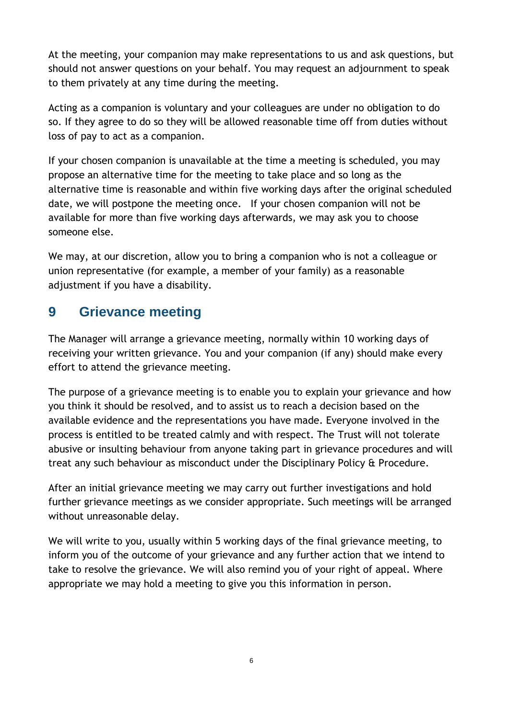At the meeting, your companion may make representations to us and ask questions, but should not answer questions on your behalf. You may request an adjournment to speak to them privately at any time during the meeting.

Acting as a companion is voluntary and your colleagues are under no obligation to do so. If they agree to do so they will be allowed reasonable time off from duties without loss of pay to act as a companion.

If your chosen companion is unavailable at the time a meeting is scheduled, you may propose an alternative time for the meeting to take place and so long as the alternative time is reasonable and within five working days after the original scheduled date, we will postpone the meeting once. If your chosen companion will not be available for more than five working days afterwards, we may ask you to choose someone else.

We may, at our discretion, allow you to bring a companion who is not a colleague or union representative (for example, a member of your family) as a reasonable adjustment if you have a disability.

#### <span id="page-5-0"></span>**9 Grievance meeting**

The Manager will arrange a grievance meeting, normally within 10 working days of receiving your written grievance. You and your companion (if any) should make every effort to attend the grievance meeting.

The purpose of a grievance meeting is to enable you to explain your grievance and how you think it should be resolved, and to assist us to reach a decision based on the available evidence and the representations you have made. Everyone involved in the process is entitled to be treated calmly and with respect. The Trust will not tolerate abusive or insulting behaviour from anyone taking part in grievance procedures and will treat any such behaviour as misconduct under the Disciplinary Policy & Procedure.

After an initial grievance meeting we may carry out further investigations and hold further grievance meetings as we consider appropriate. Such meetings will be arranged without unreasonable delay.

We will write to you, usually within 5 working days of the final grievance meeting, to inform you of the outcome of your grievance and any further action that we intend to take to resolve the grievance. We will also remind you of your right of appeal. Where appropriate we may hold a meeting to give you this information in person.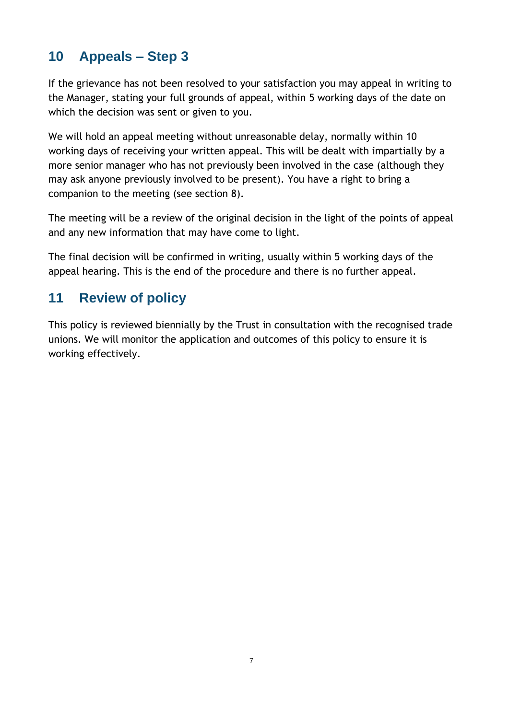## <span id="page-6-0"></span>**10 Appeals – Step 3**

If the grievance has not been resolved to your satisfaction you may appeal in writing to the Manager, stating your full grounds of appeal, within 5 working days of the date on which the decision was sent or given to you.

We will hold an appeal meeting without unreasonable delay, normally within 10 working days of receiving your written appeal. This will be dealt with impartially by a more senior manager who has not previously been involved in the case (although they may ask anyone previously involved to be present). You have a right to bring a companion to the meeting (see section 8).

The meeting will be a review of the original decision in the light of the points of appeal and any new information that may have come to light.

The final decision will be confirmed in writing, usually within 5 working days of the appeal hearing. This is the end of the procedure and there is no further appeal.

## <span id="page-6-1"></span>**11 Review of policy**

This policy is reviewed biennially by the Trust in consultation with the recognised trade unions. We will monitor the application and outcomes of this policy to ensure it is working effectively.